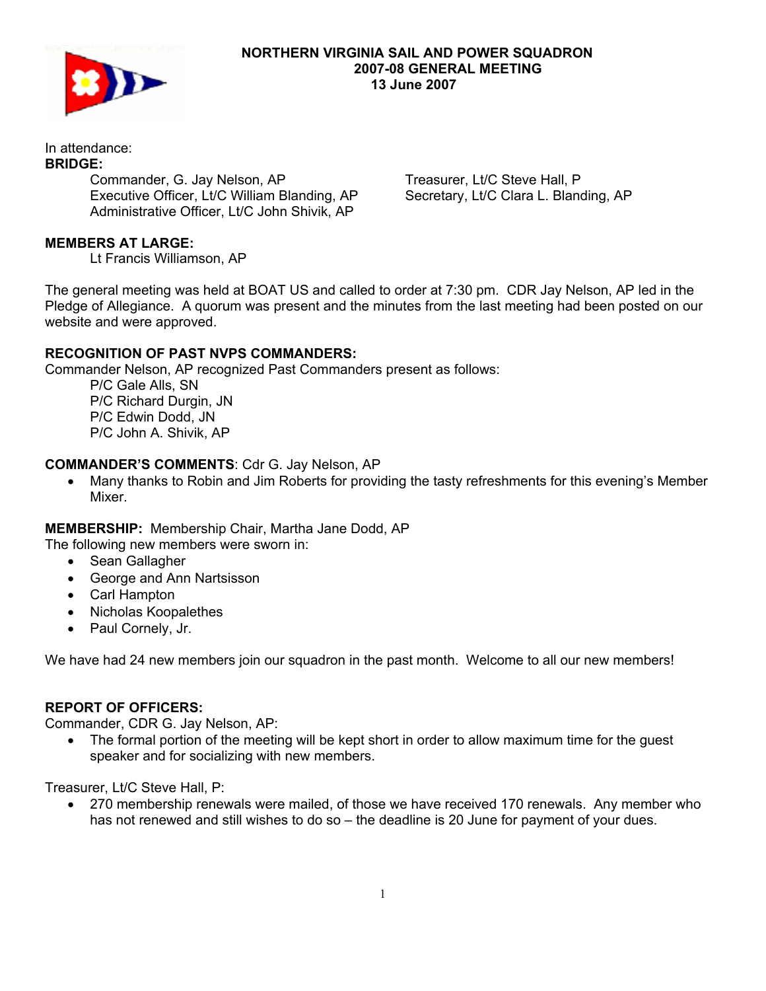

#### **NORTHERN VIRGINIA SAIL AND POWER SQUADRON 2007-08 GENERAL MEETING 13 June 2007**

#### In attendance: **BRIDGE:**

 Commander, G. Jay Nelson, AP Executive Officer, Lt/C William Blanding, AP Administrative Officer, Lt/C John Shivik, AP

Treasurer, Lt/C Steve Hall, P Secretary, Lt/C Clara L. Blanding, AP

# **MEMBERS AT LARGE:**

Lt Francis Williamson, AP

The general meeting was held at BOAT US and called to order at 7:30 pm. CDR Jay Nelson, AP led in the Pledge of Allegiance. A quorum was present and the minutes from the last meeting had been posted on our website and were approved.

## **RECOGNITION OF PAST NVPS COMMANDERS:**

Commander Nelson, AP recognized Past Commanders present as follows:

 P/C Gale Alls, SN P/C Richard Durgin, JN P/C Edwin Dodd, JN P/C John A. Shivik, AP

## **COMMANDER'S COMMENTS**: Cdr G. Jay Nelson, AP

• Many thanks to Robin and Jim Roberts for providing the tasty refreshments for this evening's Member Mixer.

**MEMBERSHIP:** Membership Chair, Martha Jane Dodd, AP

The following new members were sworn in:

- Sean Gallagher
- George and Ann Nartsisson
- Carl Hampton
- Nicholas Koopalethes
- Paul Cornely, Jr.

We have had 24 new members join our squadron in the past month. Welcome to all our new members!

## **REPORT OF OFFICERS:**

Commander, CDR G. Jay Nelson, AP:

• The formal portion of the meeting will be kept short in order to allow maximum time for the quest speaker and for socializing with new members.

Treasurer, Lt/C Steve Hall, P:

• 270 membership renewals were mailed, of those we have received 170 renewals. Any member who has not renewed and still wishes to do so – the deadline is 20 June for payment of your dues.